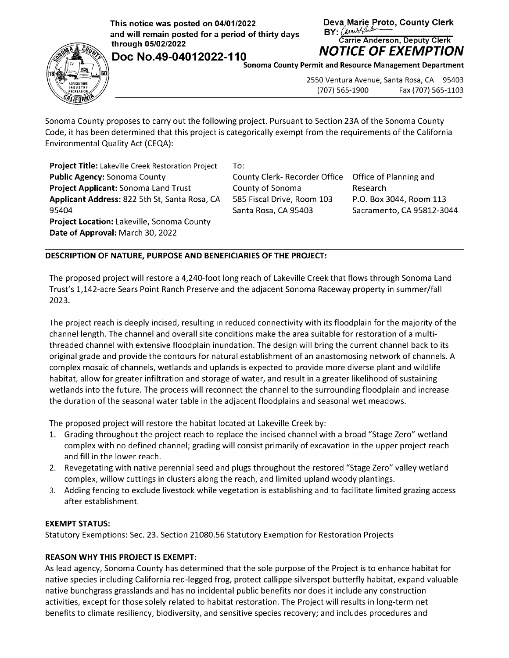**This notice was posted on 04/01/2022** Deva Marie Proto, County Clerk<br>and will remain posted for a period of thirty days **BY:** *Awving the county* Clerk and will remain posted for a period of thirty days **BY:** *Carrie Anderson, Deputy Clerk*<br>Carrie Anderson, Deputy Clerk

**Doc No.49-04012022-110 NOTICE OF EXEMPTION** 





**Sonoma County Permit and Resource Management Department** 

2550 Ventura Avenue, Santa Rosa, CA 95403 (707) 565-1900 Fax (707) 565-1103

Sonoma County proposes to carry out the following project. Pursuant to Section 23A of the Sonoma County Code, it has been determined that this project is categorically exempt from the requirements of the California Environmental Quality Act {CEQA):

**Project Title:** Lakeville Creek Restoration Project **Public Agency:** Sonoma County **Project Applicant:** Sonoma Land Trust **Applicant Address:** 822 5th St, Santa Rosa, CA 95404 **Project Location:** Lakeville, Sonoma County **Date of Approval:** March 30, 2022

To:

County Clerk- Recorder Office County of Sonoma 585 Fiscal Drive, Room 103 Santa Rosa, CA 95403

Office of Planning and Research P.O. Box 3044, Room 113 Sacramento, CA 95812-3044

## **DESCRIPTION OF NATURE, PURPOSE AND BENEFICIARIES OF THE PROJECT:**

The proposed project will restore a 4,240-foot long reach of Lakeville Creek that flows through Sonoma Land Trust's 1,142-acre Sears Point Ranch Preserve and the adjacent Sonoma Raceway property in summer/fall 2023.

The project reach is deeply incised, resulting in reduced connectivity with its floodplain for the majority of the channel length. The channel and overall site conditions make the area suitable for restoration of a multithreaded channel with extensive floodplain inundation. The design will bring the current channel back to its original grade and provide the contours for natural establishment of an anastomosing network of channels. A complex mosaic of channels, wetlands and uplands is expected to provide more diverse plant and wildlife habitat, allow for greater infiltration and storage of water, and result in a greater likelihood of sustaining wetlands into the future. The process will reconnect the channel to the surrounding floodplain and increase the duration of the seasonal water table in the adjacent floodplains and seasonal wet meadows.

The proposed project will restore the habitat located at Lakeville Creek by:

- 1. Grading throughout the project reach to replace the incised channel with a broad "Stage Zero" wetland complex with no defined channel; grading will consist primarily of excavation in the upper project reach and fill in the lower reach.
- 2. Revegetating with native perennial seed and plugs throughout the restored "Stage Zero" valley wetland complex, willow cuttings in clusters along the reach, and limited upland woody plantings.
- 3. Adding fencing to exclude livestock while vegetation is establishing and to facilitate limited grazing access after establishment.

## **EXEMPT STATUS:**

Statutory Exemptions: Sec. 23. Section 21080.56 Statutory Exemption for Restoration Projects

## **REASON WHY THIS PROJECT IS EXEMPT:**

As lead agency, Sonoma County has determined that the sole purpose of the Project is to enhance habitat for native species including California red-legged frog, protect callippe silverspot butterfly habitat, expand valuable native bunchgrass grasslands and has no incidental public benefits nor does it include any construction activities, except for those solely related to habitat restoration. The Project will results in long-term net benefits to climate resiliency, biodiversity, and sensitive species recovery; and includes procedures and